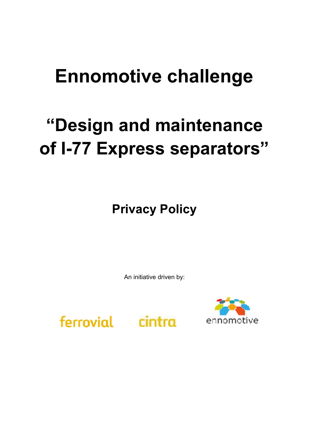## **Ennomotive challenge**

# **"Design and maintenance of I-77 Express separators"**

**Privacy Policy**

An initiative driven by:

ferrovial



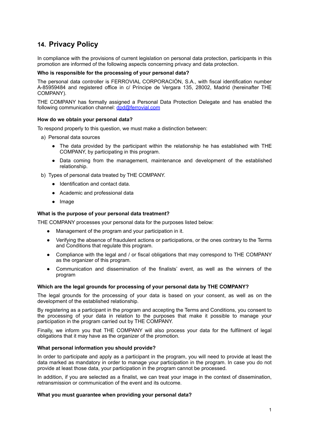### **14. Privacy Policy**

In compliance with the provisions of current legislation on personal data protection, participants in this promotion are informed of the following aspects concerning privacy and data protection.

#### **Who is responsible for the processing of your personal data?**

The personal data controller is FERROVIAL CORPORACIÓN, S.A., with fiscal identification number A-85959484 and registered office in c/ Príncipe de Vergara 135, 28002, Madrid (hereinafter THE COMPANY).

THE COMPANY has formally assigned a Personal Data Protection Delegate and has enabled the following communication channel: [dpd@ferrovial.com](mailto:dpd@ferrovial.com)

#### **How do we obtain your personal data?**

To respond properly to this question, we must make a distinction between:

- a) Personal data sources
	- The data provided by the participant within the relationship he has established with THE COMPANY, by participating in this program.
	- Data coming from the management, maintenance and development of the established relationship.
- b) Types of personal data treated by THE COMPANY.
	- Identification and contact data.
	- Academic and professional data
	- Image

#### **What is the purpose of your personal data treatment?**

THE COMPANY processes your personal data for the purposes listed below:

- Management of the program and your participation in it.
- Verifying the absence of fraudulent actions or participations, or the ones contrary to the Terms and Conditions that regulate this program.
- Compliance with the legal and / or fiscal obligations that may correspond to THE COMPANY as the organizer of this program.
- Communication and dissemination of the finalists' event, as well as the winners of the program

#### **Which are the legal grounds for processing of your personal data by THE COMPANY?**

The legal grounds for the processing of your data is based on your consent, as well as on the development of the established relationship.

By registering as a participant in the program and accepting the Terms and Conditions, you consent to the processing of your data in relation to the purposes that make it possible to manage your participation in the program carried out by THE COMPANY.

Finally, we inform you that THE COMPANY will also process your data for the fulfilment of legal obligations that it may have as the organizer of the promotion.

#### **What personal information you should provide?**

In order to participate and apply as a participant in the program, you will need to provide at least the data marked as mandatory in order to manage your participation in the program. In case you do not provide at least those data, your participation in the program cannot be processed.

In addition, if you are selected as a finalist, we can treat your image in the context of dissemination, retransmission or communication of the event and its outcome.

#### **What you must guarantee when providing your personal data?**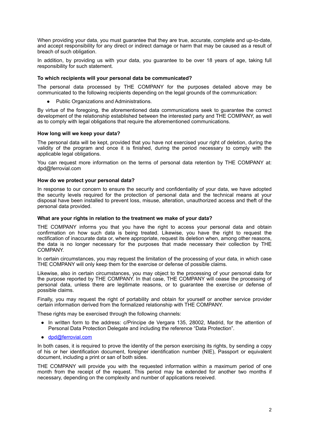When providing your data, you must guarantee that they are true, accurate, complete and up-to-date, and accept responsibility for any direct or indirect damage or harm that may be caused as a result of breach of such obligation.

In addition, by providing us with your data, you guarantee to be over 18 years of age, taking full responsibility for such statement.

#### **To which recipients will your personal data be communicated?**

The personal data processed by THE COMPANY for the purposes detailed above may be communicated to the following recipients depending on the legal grounds of the communication:

● Public Organizations and Administrations.

By virtue of the foregoing, the aforementioned data communications seek to guarantee the correct development of the relationship established between the interested party and THE COMPANY, as well as to comply with legal obligations that require the aforementioned communications.

#### **How long will we keep your data?**

The personal data will be kept, provided that you have not exercised your right of deletion, during the validity of the program and once it is finished, during the period necessary to comply with the applicable legal obligations.

You can request more information on the terms of personal data retention by THE COMPANY at: dpd@ferrovial.com

#### **How do we protect your personal data?**

In response to our concern to ensure the security and confidentiality of your data, we have adopted the security levels required for the protection of personal data and the technical means at your disposal have been installed to prevent loss, misuse, alteration, unauthorized access and theft of the personal data provided.

#### **What are your rights in relation to the treatment we make of your data?**

THE COMPANY informs you that you have the right to access your personal data and obtain confirmation on how such data is being treated. Likewise, you have the right to request the rectification of inaccurate data or, where appropriate, request its deletion when, among other reasons, the data is no longer necessary for the purposes that made necessary their collection by THE COMPANY.

In certain circumstances, you may request the limitation of the processing of your data, in which case THE COMPANY will only keep them for the exercise or defense of possible claims.

Likewise, also in certain circumstances, you may object to the processing of your personal data for the purpose reported by THE COMPANY. In that case, THE COMPANY will cease the processing of personal data, unless there are legitimate reasons, or to guarantee the exercise or defense of possible claims.

Finally, you may request the right of portability and obtain for yourself or another service provider certain information derived from the formalized relationship with THE COMPANY.

These rights may be exercised through the following channels:

- In written form to the address: c/Principe de Vergara 135, 28002, Madrid, for the attention of Personal Data Protection Delegate and including the reference "Data Protection".
- [dpd@ferrovial.com](mailto:dpd@ferrovial.com)

In both cases, it is required to prove the identity of the person exercising its rights, by sending a copy of his or her identification document, foreigner identification number (NIE), Passport or equivalent document, including a print or san of both sides.

THE COMPANY will provide you with the requested information within a maximum period of one month from the receipt of the request. This period may be extended for another two months if necessary, depending on the complexity and number of applications received.